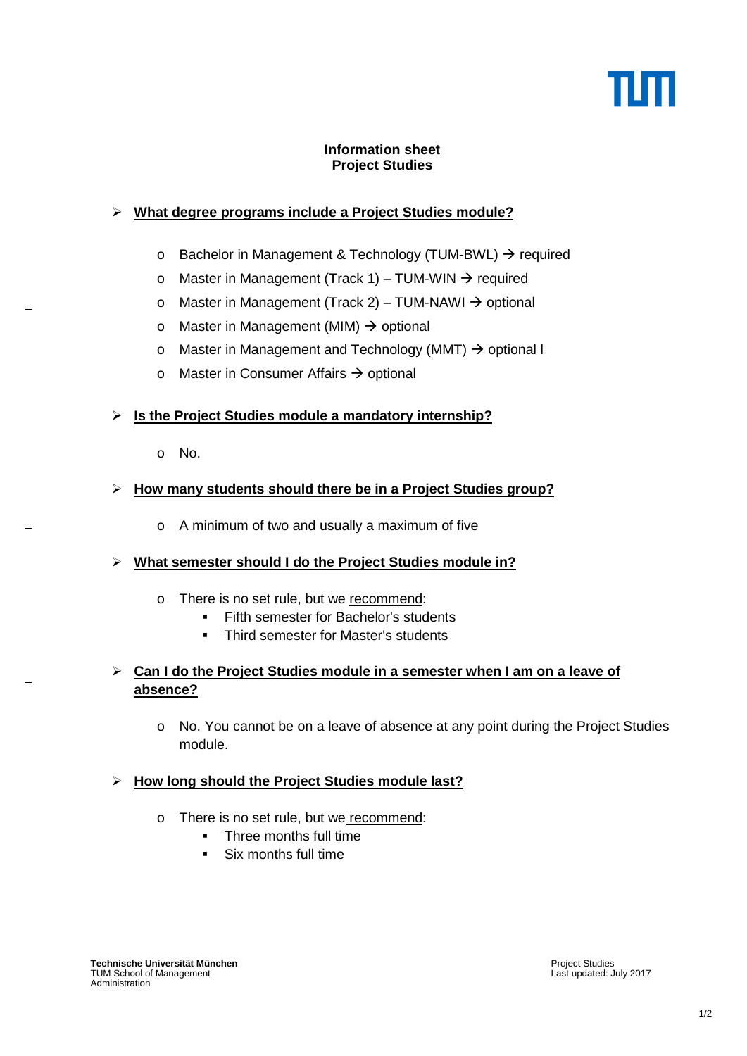### **Information sheet Project Studies**

# **What degree programs include a Project Studies module?**

- $\circ$  Bachelor in Management & Technology (TUM-BWL)  $\rightarrow$  required
- o Master in Management (Track 1) TUM-WIN  $\rightarrow$  required
- o Master in Management (Track 2) TUM-NAWI  $\rightarrow$  optional
- o Master in Management (MIM)  $\rightarrow$  optional
- o Master in Management and Technology (MMT)  $\rightarrow$  optional I
- o Master in Consumer Affairs  $\rightarrow$  optional

## **Is the Project Studies module a mandatory internship?**

o No.

## **How many students should there be in a Project Studies group?**

o A minimum of two and usually a maximum of five

## **What semester should I do the Project Studies module in?**

- o There is no set rule, but we recommend:
	- **Fifth semester for Bachelor's students**
	- Third semester for Master's students

## **Can I do the Project Studies module in a semester when I am on a leave of absence?**

o No. You cannot be on a leave of absence at any point during the Project Studies module.

## **How long should the Project Studies module last?**

- o There is no set rule, but we recommend:
	- **Three months full time**
	- Six months full time

Project Studies Last updated: July 2017